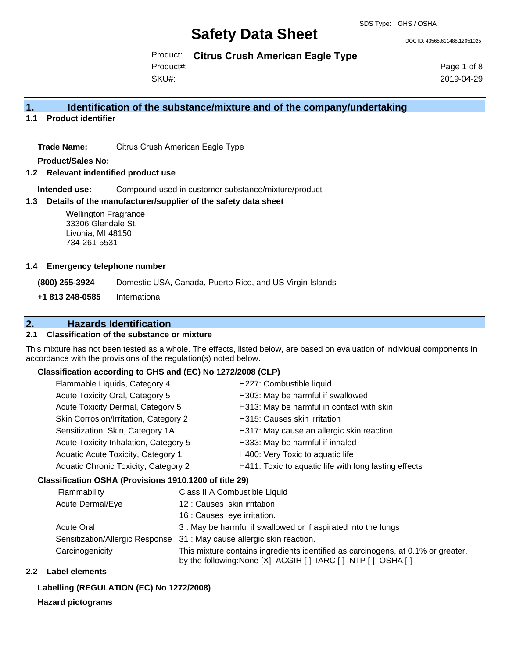DOC ID: 43565.611488.12051025

Product: **Citrus Crush American Eagle Type**

Product#:

SKU#:

Page 1 of 8 2019-04-29

### **1. Identification of the substance/mixture and of the company/undertaking**

**1.1 Product identifier**

**Trade Name:** Citrus Crush American Eagle Type

**Product/Sales No:**

**1.2 Relevant indentified product use**

**Intended use:** Compound used in customer substance/mixture/product

### **1.3 Details of the manufacturer/supplier of the safety data sheet**

Wellington Fragrance 33306 Glendale St. Livonia, MI 48150 734-261-5531

### **1.4 Emergency telephone number**

**(800) 255-3924** Domestic USA, Canada, Puerto Rico, and US Virgin Islands

**+1 813 248-0585** International

### **2. Hazards Identification**

### **2.1 Classification of the substance or mixture**

This mixture has not been tested as a whole. The effects, listed below, are based on evaluation of individual components in accordance with the provisions of the regulation(s) noted below.

### **Classification according to GHS and (EC) No 1272/2008 (CLP)**

| Flammable Liquids, Category 4         | H227: Combustible liquid                              |
|---------------------------------------|-------------------------------------------------------|
| Acute Toxicity Oral, Category 5       | H303: May be harmful if swallowed                     |
| Acute Toxicity Dermal, Category 5     | H313: May be harmful in contact with skin             |
| Skin Corrosion/Irritation, Category 2 | H315: Causes skin irritation                          |
| Sensitization, Skin, Category 1A      | H317: May cause an allergic skin reaction             |
| Acute Toxicity Inhalation, Category 5 | H333: May be harmful if inhaled                       |
| Aquatic Acute Toxicity, Category 1    | H400: Very Toxic to aquatic life                      |
| Aquatic Chronic Toxicity, Category 2  | H411: Toxic to aquatic life with long lasting effects |
|                                       |                                                       |

### **Classification OSHA (Provisions 1910.1200 of title 29)**

| Flammability                    | Class IIIA Combustible Liquid                                                                                                                  |
|---------------------------------|------------------------------------------------------------------------------------------------------------------------------------------------|
| Acute Dermal/Eye                | 12: Causes skin irritation.                                                                                                                    |
|                                 | 16 : Causes eye irritation.                                                                                                                    |
| <b>Acute Oral</b>               | 3 : May be harmful if swallowed or if aspirated into the lungs                                                                                 |
| Sensitization/Allergic Response | 31 : May cause allergic skin reaction.                                                                                                         |
| Carcinogenicity                 | This mixture contains ingredients identified as carcinogens, at 0.1% or greater,<br>by the following: None [X] ACGIH [] IARC [] NTP [] OSHA [] |

### **2.2 Label elements**

### **Labelling (REGULATION (EC) No 1272/2008)**

#### **Hazard pictograms**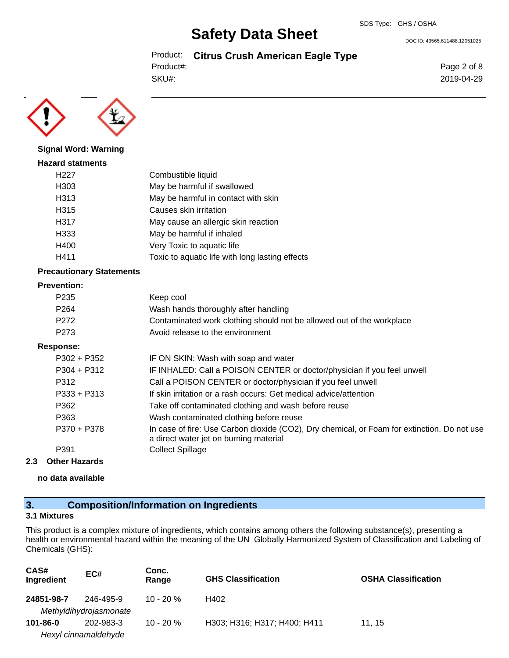DOC ID: 43565.611488.12051025

Product: **Citrus Crush American Eagle Type** Product#:

SKU#:

Page 2 of 8 2019-04-29



### **Signal Word: Warning**

| <b>Hazard statments</b> |                                                 |
|-------------------------|-------------------------------------------------|
| H <sub>22</sub> 7       | Combustible liquid                              |
| H303                    | May be harmful if swallowed                     |
| H313                    | May be harmful in contact with skin             |
| H315                    | Causes skin irritation                          |
| H317                    | May cause an allergic skin reaction             |
| H333                    | May be harmful if inhaled                       |
| H400                    | Very Toxic to aquatic life                      |
| H411                    | Toxic to aquatic life with long lasting effects |

### **Precautionary Statements**

#### **Prevention:**

| P <sub>2</sub> 35 | Keep cool                                                                                                                             |
|-------------------|---------------------------------------------------------------------------------------------------------------------------------------|
| P <sub>264</sub>  | Wash hands thoroughly after handling                                                                                                  |
| P <sub>272</sub>  | Contaminated work clothing should not be allowed out of the workplace                                                                 |
| P <sub>273</sub>  | Avoid release to the environment                                                                                                      |
| Response:         |                                                                                                                                       |
| $P302 + P352$     | IF ON SKIN: Wash with soap and water                                                                                                  |
| $P304 + P312$     | IF INHALED: Call a POISON CENTER or doctor/physician if you feel unwell                                                               |
| P312              | Call a POISON CENTER or doctor/physician if you feel unwell                                                                           |
| $P333 + P313$     | If skin irritation or a rash occurs: Get medical advice/attention                                                                     |
| P362              | Take off contaminated clothing and wash before reuse                                                                                  |
| P363              | Wash contaminated clothing before reuse                                                                                               |
| P370 + P378       | In case of fire: Use Carbon dioxide (CO2), Dry chemical, or Foam for extinction. Do not use<br>a direct water jet on burning material |
| P391              | <b>Collect Spillage</b>                                                                                                               |
|                   |                                                                                                                                       |

### **2.3 Other Hazards**

**no data available**

### **3. Composition/Information on Ingredients**

### **3.1 Mixtures**

This product is a complex mixture of ingredients, which contains among others the following substance(s), presenting a health or environmental hazard within the meaning of the UN Globally Harmonized System of Classification and Labeling of Chemicals (GHS):

| CAS#<br>Ingredient | EC#                                 | Conc.<br>Range | <b>GHS Classification</b>    | <b>OSHA Classification</b> |
|--------------------|-------------------------------------|----------------|------------------------------|----------------------------|
| 24851-98-7         | 246-495-9<br>Methyldihydrojasmonate | $10 - 20 %$    | H402                         |                            |
| $101 - 86 - 0$     | 202-983-3                           | $10 - 20%$     | H303; H316; H317; H400; H411 | 11.15                      |
|                    | Hexyl cinnamaldehyde                |                |                              |                            |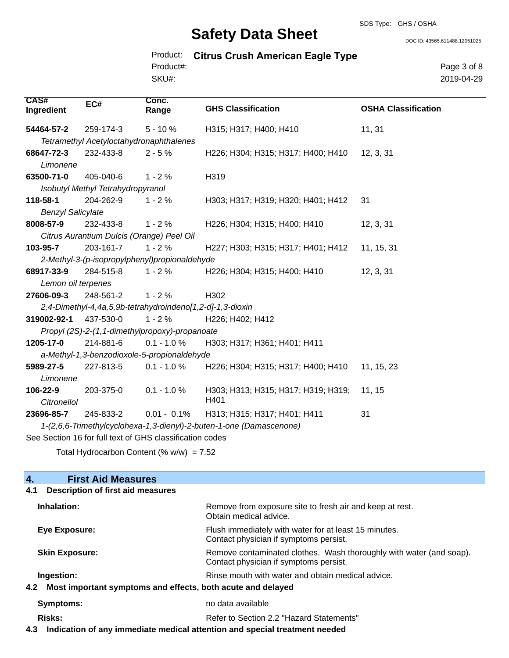DOC ID: 43565.611488.12051025

|           | Product: Citrus Crush American Eagle Type |
|-----------|-------------------------------------------|
| Product#: |                                           |
| SKU#:     |                                           |

Page 3 of 8 2019-04-29

| <b>CAS#</b><br>Ingredient | EC#                                       | Conc.<br>Range                                            | <b>GHS Classification</b>                                           | <b>OSHA Classification</b> |
|---------------------------|-------------------------------------------|-----------------------------------------------------------|---------------------------------------------------------------------|----------------------------|
| 54464-57-2                | 259-174-3                                 | $5 - 10%$                                                 | H315; H317; H400; H410                                              | 11, 31                     |
|                           | Tetramethyl Acetyloctahydronaphthalenes   |                                                           |                                                                     |                            |
| 68647-72-3                | 232-433-8                                 | $2 - 5%$                                                  | H226; H304; H315; H317; H400; H410                                  | 12, 3, 31                  |
| Limonene                  |                                           |                                                           |                                                                     |                            |
| 63500-71-0                | 405-040-6                                 | $1 - 2%$                                                  | H319                                                                |                            |
|                           | Isobutyl Methyl Tetrahydropyranol         |                                                           |                                                                     |                            |
| 118-58-1                  | 204-262-9                                 | $1 - 2%$                                                  | H303; H317; H319; H320; H401; H412                                  | 31                         |
| <b>Benzyl Salicylate</b>  |                                           |                                                           |                                                                     |                            |
| 8008-57-9                 | 232-433-8                                 | $1 - 2%$                                                  | H226; H304; H315; H400; H410                                        | 12, 3, 31                  |
|                           | Citrus Aurantium Dulcis (Orange) Peel Oil |                                                           |                                                                     |                            |
| 103-95-7                  | 203-161-7                                 | $1 - 2%$                                                  | H227; H303; H315; H317; H401; H412                                  | 11, 15, 31                 |
|                           |                                           | 2-Methyl-3-(p-isopropylphenyl)propionaldehyde             |                                                                     |                            |
| 68917-33-9                | 284-515-8                                 | $1 - 2%$                                                  | H226; H304; H315; H400; H410                                        | 12, 3, 31                  |
| Lemon oil terpenes        |                                           |                                                           |                                                                     |                            |
| 27606-09-3                | 248-561-2                                 | $1 - 2%$                                                  | H302                                                                |                            |
|                           |                                           | 2,4-Dimethyl-4,4a,5,9b-tetrahydroindeno[1,2-d]-1,3-dioxin |                                                                     |                            |
| 319002-92-1               | 437-530-0                                 | $1 - 2%$                                                  | H226; H402; H412                                                    |                            |
|                           |                                           | Propyl (2S)-2-(1,1-dimethylpropoxy)-propanoate            |                                                                     |                            |
| 1205-17-0                 | 214-881-6                                 | $0.1 - 1.0 \%$                                            | H303; H317; H361; H401; H411                                        |                            |
|                           |                                           | a-Methyl-1,3-benzodioxole-5-propionaldehyde               |                                                                     |                            |
| 5989-27-5                 | 227-813-5                                 | $0.1 - 1.0 \%$                                            | H226; H304; H315; H317; H400; H410                                  | 11, 15, 23                 |
| Limonene                  |                                           |                                                           |                                                                     |                            |
| 106-22-9<br>Citronellol   | 203-375-0                                 | $0.1 - 1.0 %$                                             | H303; H313; H315; H317; H319; H319;<br>H401                         | 11, 15                     |
| 23696-85-7                | 245-833-2                                 | $0.01 - 0.1\%$                                            | H313; H315; H317; H401; H411                                        | 31                         |
|                           |                                           |                                                           | 1-(2,6,6-Trimethylcyclohexa-1,3-dienyl)-2-buten-1-one (Damascenone) |                            |
|                           |                                           | See Section 16 for full text of GHS classification codes  |                                                                     |                            |

Total Hydrocarbon Content (%  $w/w$ ) = 7.52

| <b>First Aid Measures</b><br>4.                                    |                                                                                                               |  |
|--------------------------------------------------------------------|---------------------------------------------------------------------------------------------------------------|--|
| Description of first aid measures<br>4.1                           |                                                                                                               |  |
| Inhalation:                                                        | Remove from exposure site to fresh air and keep at rest.<br>Obtain medical advice.                            |  |
| Eye Exposure:                                                      | Flush immediately with water for at least 15 minutes.<br>Contact physician if symptoms persist.               |  |
| <b>Skin Exposure:</b>                                              | Remove contaminated clothes. Wash thoroughly with water (and soap).<br>Contact physician if symptoms persist. |  |
| Ingestion:                                                         | Rinse mouth with water and obtain medical advice.                                                             |  |
| Most important symptoms and effects, both acute and delayed<br>4.2 |                                                                                                               |  |
| Symptoms:                                                          | no data available                                                                                             |  |
| Risks:                                                             | Refer to Section 2.2 "Hazard Statements"                                                                      |  |

**4.3 Indication of any immediate medical attention and special treatment needed**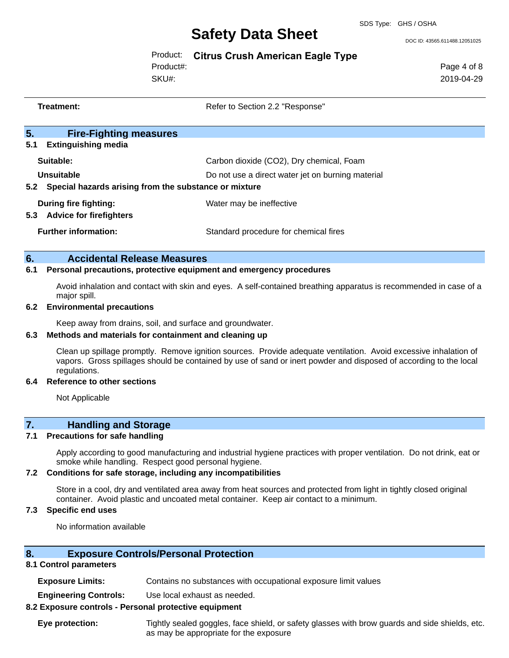DOC ID: 43565.611488.12051025

### Product: **Citrus Crush American Eagle Type**

Product#:

SKU#:

Page 4 of 8 2019-04-29

| Treatment: |                                                                                  | Refer to Section 2.2 "Response"                                                               |
|------------|----------------------------------------------------------------------------------|-----------------------------------------------------------------------------------------------|
| 5.<br>5.1  | <b>Fire-Fighting measures</b><br><b>Extinguishing media</b>                      |                                                                                               |
| 5.2        | Suitable:<br>Unsuitable<br>Special hazards arising from the substance or mixture | Carbon dioxide (CO2), Dry chemical, Foam<br>Do not use a direct water jet on burning material |
| 5.3        | During fire fighting:<br><b>Advice for firefighters</b>                          | Water may be ineffective                                                                      |
|            | <b>Further information:</b>                                                      | Standard procedure for chemical fires                                                         |
|            |                                                                                  |                                                                                               |

### **6. Accidental Release Measures**

### **6.1 Personal precautions, protective equipment and emergency procedures**

Avoid inhalation and contact with skin and eyes. A self-contained breathing apparatus is recommended in case of a major spill.

### **6.2 Environmental precautions**

Keep away from drains, soil, and surface and groundwater.

### **6.3 Methods and materials for containment and cleaning up**

Clean up spillage promptly. Remove ignition sources. Provide adequate ventilation. Avoid excessive inhalation of vapors. Gross spillages should be contained by use of sand or inert powder and disposed of according to the local regulations.

#### **6.4 Reference to other sections**

Not Applicable

### **7. Handling and Storage**

### **7.1 Precautions for safe handling**

Apply according to good manufacturing and industrial hygiene practices with proper ventilation. Do not drink, eat or smoke while handling. Respect good personal hygiene.

#### **7.2 Conditions for safe storage, including any incompatibilities**

Store in a cool, dry and ventilated area away from heat sources and protected from light in tightly closed original container. Avoid plastic and uncoated metal container. Keep air contact to a minimum.

### **7.3 Specific end uses**

No information available

### **8. Exposure Controls/Personal Protection**

#### **8.1 Control parameters**

| <b>Exposure Limits:</b><br>Contains no substances with occupational exposure limit values |  |
|-------------------------------------------------------------------------------------------|--|
|-------------------------------------------------------------------------------------------|--|

**Engineering Controls:** Use local exhaust as needed.

### **8.2 Exposure controls - Personal protective equipment**

**Eye protection:** Tightly sealed goggles, face shield, or safety glasses with brow guards and side shields, etc. as may be appropriate for the exposure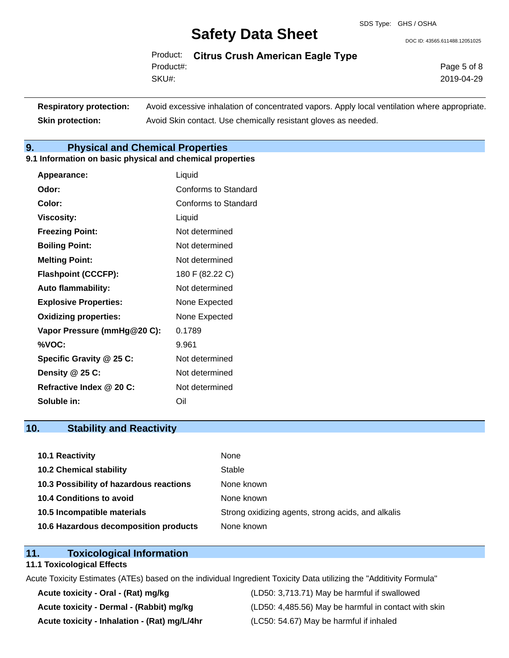DOC ID: 43565.611488.12051025

Product: **Citrus Crush American Eagle Type** SKU#: Product#:

Page 5 of 8 2019-04-29

| <b>Respiratory protection:</b> | Avoid excessive inhalation of concentrated vapors. Apply local ventilation where appropriate. |
|--------------------------------|-----------------------------------------------------------------------------------------------|
| <b>Skin protection:</b>        | Avoid Skin contact. Use chemically resistant gloves as needed.                                |

### **9. Physical and Chemical Properties**

**9.1 Information on basic physical and chemical properties**

| Appearance:                  | Liquid                      |
|------------------------------|-----------------------------|
| Odor:                        | <b>Conforms to Standard</b> |
| Color:                       | Conforms to Standard        |
| <b>Viscosity:</b>            | Liquid                      |
| <b>Freezing Point:</b>       | Not determined              |
| <b>Boiling Point:</b>        | Not determined              |
| <b>Melting Point:</b>        | Not determined              |
| <b>Flashpoint (CCCFP):</b>   | 180 F (82.22 C)             |
| <b>Auto flammability:</b>    | Not determined              |
| <b>Explosive Properties:</b> | None Expected               |
| <b>Oxidizing properties:</b> | None Expected               |
| Vapor Pressure (mmHg@20 C):  | 0.1789                      |
| %VOC:                        | 9.961                       |
| Specific Gravity @ 25 C:     | Not determined              |
| Density @ 25 C:              | Not determined              |
| Refractive Index @ 20 C:     | Not determined              |
| Soluble in:                  | Oil                         |

### **10. Stability and Reactivity**

| 10.1 Reactivity                         | None                                               |
|-----------------------------------------|----------------------------------------------------|
| <b>10.2 Chemical stability</b>          | Stable                                             |
| 10.3 Possibility of hazardous reactions | None known                                         |
| 10.4 Conditions to avoid                | None known                                         |
| 10.5 Incompatible materials             | Strong oxidizing agents, strong acids, and alkalis |
| 10.6 Hazardous decomposition products   | None known                                         |

### **11. Toxicological Information**

### **11.1 Toxicological Effects**

Acute Toxicity Estimates (ATEs) based on the individual Ingredient Toxicity Data utilizing the "Additivity Formula"

**Acute toxicity - Inhalation - (Rat) mg/L/4hr** (LC50: 54.67) May be harmful if inhaled

**Acute toxicity - Oral - (Rat) mg/kg** (LD50: 3,713.71) May be harmful if swallowed **Acute toxicity - Dermal - (Rabbit) mg/kg** (LD50: 4,485.56) May be harmful in contact with skin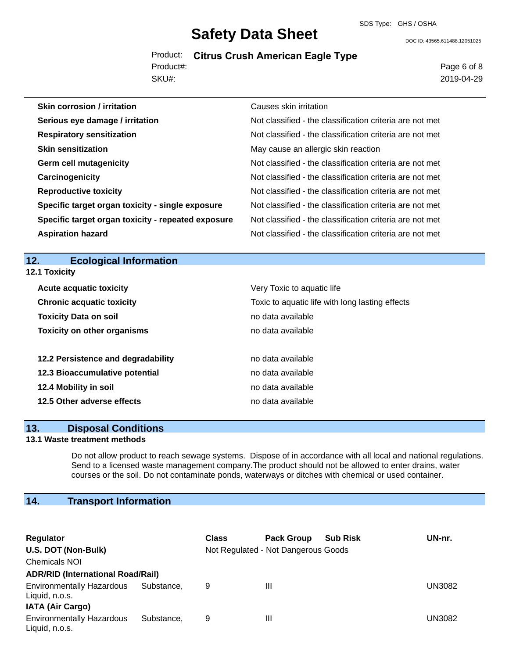### **Safety Data Sheet** SDS Type: GHS / OSHA

DOC ID: 43565.611488.12051025

Product: **Citrus Crush American Eagle Type** SKU#: Product#:

Page 6 of 8 2019-04-29

| <b>Skin corrosion / irritation</b>                 | Causes skin irritation                                   |
|----------------------------------------------------|----------------------------------------------------------|
| Serious eye damage / irritation                    | Not classified - the classification criteria are not met |
| <b>Respiratory sensitization</b>                   | Not classified - the classification criteria are not met |
| <b>Skin sensitization</b>                          | May cause an allergic skin reaction                      |
| <b>Germ cell mutagenicity</b>                      | Not classified - the classification criteria are not met |
| Carcinogenicity                                    | Not classified - the classification criteria are not met |
| <b>Reproductive toxicity</b>                       | Not classified - the classification criteria are not met |
| Specific target organ toxicity - single exposure   | Not classified - the classification criteria are not met |
| Specific target organ toxicity - repeated exposure | Not classified - the classification criteria are not met |
| <b>Aspiration hazard</b>                           | Not classified - the classification criteria are not met |

**12. Ecological Information 12.1 Toxicity**

| <b>Acute acquatic toxicity</b>     | Very Toxic to aquatic life                      |
|------------------------------------|-------------------------------------------------|
| <b>Chronic acquatic toxicity</b>   | Toxic to aquatic life with long lasting effects |
| <b>Toxicity Data on soil</b>       | no data available                               |
| <b>Toxicity on other organisms</b> | no data available                               |
|                                    |                                                 |
| 12.2 Persistence and degradability | no data available                               |
| 12.3 Bioaccumulative potential     | no data available                               |
| 12.4 Mobility in soil              | no data available                               |
| 12.5 Other adverse effects         | no data available                               |

### **13. Disposal Conditions**

### **13.1 Waste treatment methods**

Do not allow product to reach sewage systems. Dispose of in accordance with all local and national regulations. Send to a licensed waste management company.The product should not be allowed to enter drains, water courses or the soil. Do not contaminate ponds, waterways or ditches with chemical or used container.

### **14. Transport Information**

| Regulator                                          |            | <b>Class</b> | <b>Pack Group</b>                   | <b>Sub Risk</b> | UN-nr.        |
|----------------------------------------------------|------------|--------------|-------------------------------------|-----------------|---------------|
| U.S. DOT (Non-Bulk)                                |            |              | Not Regulated - Not Dangerous Goods |                 |               |
| <b>Chemicals NOI</b>                               |            |              |                                     |                 |               |
| <b>ADR/RID (International Road/Rail)</b>           |            |              |                                     |                 |               |
| <b>Environmentally Hazardous</b><br>Liquid, n.o.s. | Substance. | 9            | Ш                                   |                 | UN3082        |
| <b>IATA (Air Cargo)</b>                            |            |              |                                     |                 |               |
| <b>Environmentally Hazardous</b><br>Liquid, n.o.s. | Substance. | 9            | Ш                                   |                 | <b>UN3082</b> |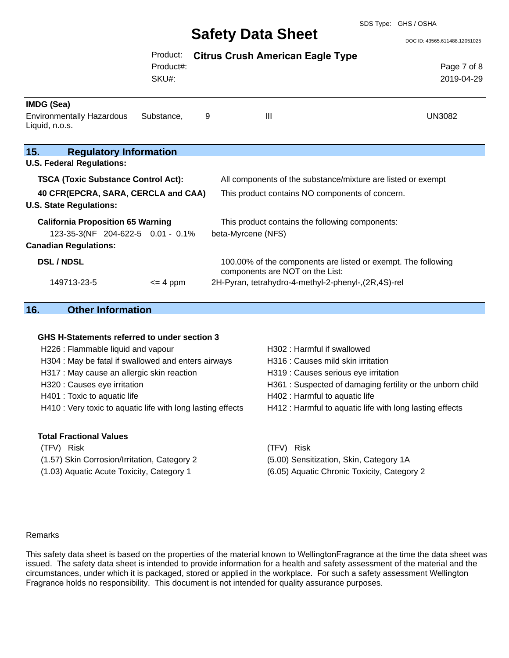#### SDS Type: GHS / OSHA

## **Safety Data Sheet**

DOC ID: 43565.611488.12051025

|                                                                          | Product:     |   | <b>Citrus Crush American Eagle Type</b>                                                          |               |
|--------------------------------------------------------------------------|--------------|---|--------------------------------------------------------------------------------------------------|---------------|
|                                                                          | Product#:    |   |                                                                                                  | Page 7 of 8   |
|                                                                          | SKU#:        |   |                                                                                                  | 2019-04-29    |
| IMDG (Sea)                                                               |              |   |                                                                                                  |               |
| <b>Environmentally Hazardous</b><br>Liquid, n.o.s.                       | Substance,   | 9 | Ш                                                                                                | <b>UN3082</b> |
| 15.<br><b>Regulatory Information</b><br><b>U.S. Federal Regulations:</b> |              |   |                                                                                                  |               |
| <b>TSCA (Toxic Substance Control Act):</b>                               |              |   | All components of the substance/mixture are listed or exempt                                     |               |
| 40 CFR(EPCRA, SARA, CERCLA and CAA)<br><b>U.S. State Regulations:</b>    |              |   | This product contains NO components of concern.                                                  |               |
| <b>California Proposition 65 Warning</b>                                 |              |   | This product contains the following components:                                                  |               |
| 123-35-3(NF 204-622-5 0.01 - 0.1%                                        |              |   | beta-Myrcene (NFS)                                                                               |               |
| <b>Canadian Regulations:</b>                                             |              |   |                                                                                                  |               |
| <b>DSL/NDSL</b>                                                          |              |   | 100.00% of the components are listed or exempt. The following<br>components are NOT on the List: |               |
| 149713-23-5                                                              | $\leq$ 4 ppm |   | 2H-Pyran, tetrahydro-4-methyl-2-phenyl-, (2R, 4S)-rel                                            |               |

### **16. Other Information**

#### **GHS H-Statements referred to under section 3**

| H226 : Flammable liquid and vapour                          |
|-------------------------------------------------------------|
| H304 : May be fatal if swallowed and enters airways         |
| H317 : May cause an allergic skin reaction                  |
| H320 : Causes eye irritation                                |
| H401 : Toxic to aquatic life                                |
| H410 : Very toxic to aquatic life with long lasting effects |
|                                                             |

#### **Total Fractional Values**

(TFV) Risk (TFV) Risk (1.57) Skin Corrosion/Irritation, Category 2 (5.00) Sensitization, Skin, Category 1A (1.03) Aquatic Acute Toxicity, Category 1 (6.05) Aquatic Chronic Toxicity, Category 2

H302 : Harmful if swallowed H316 : Causes mild skin irritation H319 : Causes serious eye irritation H361 : Suspected of damaging fertility or the unborn child H402 : Harmful to aquatic life s H412 : Harmful to aquatic life with long lasting effects

- 
- 

#### Remarks

This safety data sheet is based on the properties of the material known to WellingtonFragrance at the time the data sheet was issued. The safety data sheet is intended to provide information for a health and safety assessment of the material and the circumstances, under which it is packaged, stored or applied in the workplace. For such a safety assessment Wellington Fragrance holds no responsibility. This document is not intended for quality assurance purposes.